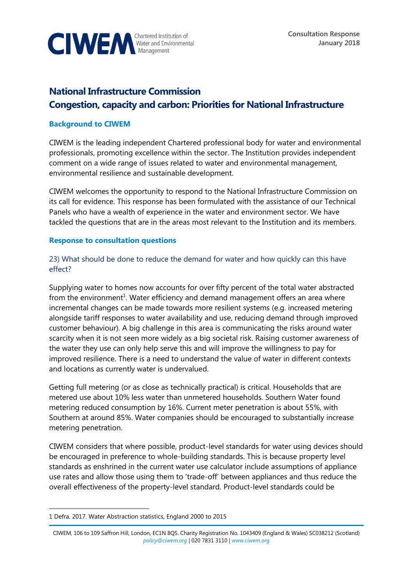

# **National Infrastructure Commission Congestion, capacity and carbon: Priorities for National Infrastructure**

#### **Background to CIWEM**

CIWEM is the leading independent Chartered professional body for water and environmental professionals, promoting excellence within the sector. The Institution provides independent comment on a wide range of issues related to water and environmental management, environmental resilience and sustainable development.

CIWEM welcomes the opportunity to respond to the National Infrastructure Commission on its call for evidence. This response has been formulated with the assistance of our Technical Panels who have a wealth of experience in the water and environment sector. We have tackled the questions that are in the areas most relevant to the Institution and its members.

#### **Response to consultation questions**

## 23) What should be done to reduce the demand for water and how quickly can this have effect?

Supplying water to homes now accounts for over fifty percent of the total water abstracted from the environment<sup>1</sup>. Water efficiency and demand management offers an area where incremental changes can be made towards more resilient systems (e.g. increased metering alongside tariff responses to water availability and use, reducing demand through improved customer behaviour). A big challenge in this area is communicating the risks around water scarcity when it is not seen more widely as a big societal risk. Raising customer awareness of the water they use can only help serve this and will improve the willingness to pay for improved resilience. There is a need to understand the value of water in different contexts and locations as currently water is undervalued.

Getting full metering (or as close as technically practical) is critical. Households that are metered use about 10% less water than unmetered households. Southern Water found metering reduced consumption by 16%. Current meter penetration is about 55%, with Southern at around 85%. Water companies should be encouraged to substantially increase metering penetration.

CIWEM considers that where possible, product-level standards for water using devices should be encouraged in preference to whole-building standards. This is because property level standards as enshrined in the current water use calculator include assumptions of appliance use rates and allow those using them to 'trade-off' between appliances and thus reduce the overall effectiveness of the property-level standard. Product-level standards could be

 $\overline{a}$ 

<sup>1</sup> Defra. 2017. Water Abstraction statistics, England 2000 to 2015

CIWEM, 106 to 109 Saffron Hill, London, EC1N 8QS. Charity Registration No. 1043409 (England & Wales) SC038212 (Scotland) *[policy@ciwem.org](mailto:policy@ciwem.org)* | 020 7831 3110 | *[www.ciwem.org](http://www.ciwem.org/)*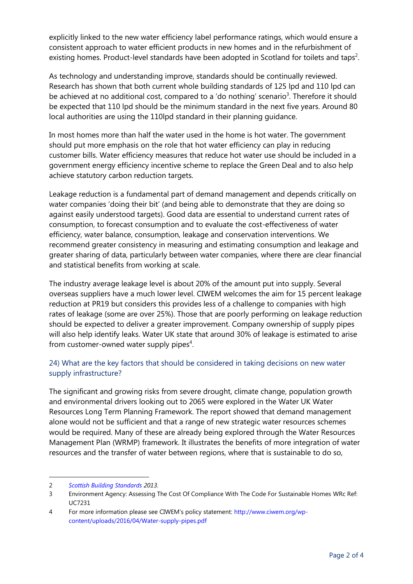explicitly linked to the new water efficiency label performance ratings, which would ensure a consistent approach to water efficient products in new homes and in the refurbishment of existing homes. Product-level standards have been adopted in Scotland for toilets and taps<sup>2</sup>.

As technology and understanding improve, standards should be continually reviewed. Research has shown that both current whole building standards of 125 lpd and 110 lpd can be achieved at no additional cost, compared to a 'do nothing' scenario<sup>3</sup>. Therefore it should be expected that 110 lpd should be the minimum standard in the next five years. Around 80 local authorities are using the 110lpd standard in their planning guidance.

In most homes more than half the water used in the home is hot water. The government should put more emphasis on the role that hot water efficiency can play in reducing customer bills. Water efficiency measures that reduce hot water use should be included in a government energy efficiency incentive scheme to replace the Green Deal and to also help achieve statutory carbon reduction targets.

Leakage reduction is a fundamental part of demand management and depends critically on water companies 'doing their bit' (and being able to demonstrate that they are doing so against easily understood targets). Good data are essential to understand current rates of consumption, to forecast consumption and to evaluate the cost-effectiveness of water efficiency, water balance, consumption, leakage and conservation interventions. We recommend greater consistency in measuring and estimating consumption and leakage and greater sharing of data, particularly between water companies, where there are clear financial and statistical benefits from working at scale.

The industry average leakage level is about 20% of the amount put into supply. Several overseas suppliers have a much lower level. CIWEM welcomes the aim for 15 percent leakage reduction at PR19 but considers this provides less of a challenge to companies with high rates of leakage (some are over 25%). Those that are poorly performing on leakage reduction should be expected to deliver a greater improvement. Company ownership of supply pipes will also help identify leaks. Water UK state that around 30% of leakage is estimated to arise from customer-owned water supply pipes<sup>4</sup>.

# 24) What are the key factors that should be considered in taking decisions on new water supply infrastructure?

The significant and growing risks from severe drought, climate change, population growth and environmental drivers looking out to 2065 were explored in the Water UK Water Resources Long Term Planning Framework. The report showed that demand management alone would not be sufficient and that a range of new strategic water resources schemes would be required. Many of these are already being explored through the Water Resources Management Plan (WRMP) framework. It illustrates the benefits of more integration of water resources and the transfer of water between regions, where that is sustainable to do so,

 $\overline{a}$ 

<sup>2</sup> *[Scottish Building Standards](http://www.scotland.gov.uk/Topics/Built-Environment/Building/Building-standards/publications/pubtech/th2013domcomp) 2013*.

<sup>3</sup> Environment Agency: Assessing The Cost Of Compliance With The Code For Sustainable Homes WRc Ref: UC7231

<sup>4</sup> For more information please see CIWEM's policy statement[: http://www.ciwem.org/wp](http://www.ciwem.org/wp-content/uploads/2016/04/Water-supply-pipes.pdf)[content/uploads/2016/04/Water-supply-pipes.pdf](http://www.ciwem.org/wp-content/uploads/2016/04/Water-supply-pipes.pdf)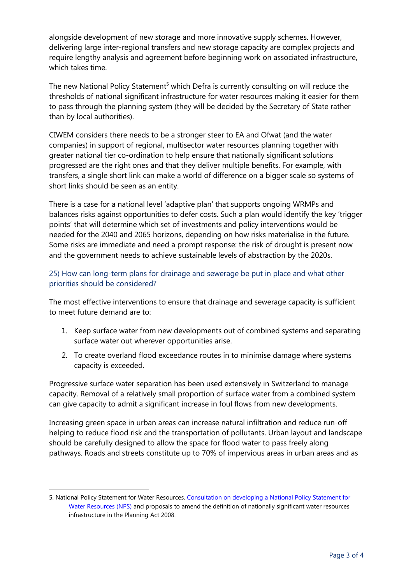alongside development of new storage and more innovative supply schemes. However, delivering large inter-regional transfers and new storage capacity are complex projects and require lengthy analysis and agreement before beginning work on associated infrastructure, which takes time.

The new National Policy Statement<sup>5</sup> which Defra is currently consulting on will reduce the thresholds of national significant infrastructure for water resources making it easier for them to pass through the planning system (they will be decided by the Secretary of State rather than by local authorities).

CIWEM considers there needs to be a stronger steer to EA and Ofwat (and the water companies) in support of regional, multisector water resources planning together with greater national tier co-ordination to help ensure that nationally significant solutions progressed are the right ones and that they deliver multiple benefits. For example, with transfers, a single short link can make a world of difference on a bigger scale so systems of short links should be seen as an entity.

There is a case for a national level 'adaptive plan' that supports ongoing WRMPs and balances risks against opportunities to defer costs. Such a plan would identify the key 'trigger points' that will determine which set of investments and policy interventions would be needed for the 2040 and 2065 horizons, depending on how risks materialise in the future. Some risks are immediate and need a prompt response: the risk of drought is present now and the government needs to achieve sustainable levels of abstraction by the 2020s.

## 25) How can long-term plans for drainage and sewerage be put in place and what other priorities should be considered?

The most effective interventions to ensure that drainage and sewerage capacity is sufficient to meet future demand are to:

- 1. Keep surface water from new developments out of combined systems and separating surface water out wherever opportunities arise.
- 2. To create overland flood exceedance routes in to minimise damage where systems capacity is exceeded.

Progressive surface water separation has been used extensively in Switzerland to manage capacity. Removal of a relatively small proportion of surface water from a combined system can give capacity to admit a significant increase in foul flows from new developments.

Increasing green space in urban areas can increase natural infiltration and reduce run-off helping to reduce flood risk and the transportation of pollutants. Urban layout and landscape should be carefully designed to allow the space for flood water to pass freely along pathways. Roads and streets constitute up to 70% of impervious areas in urban areas and as

-

<sup>5.</sup> National Policy Statement for Water Resources[. Consultation on developing a](https://consult.defra.gov.uk/water/nps-water-supply-planning-act-2008/supporting_documents/Consultation%20document%20for%20National%20Policy%20Statement%20for%20Water%20Resources.pdf) National Policy Statement for [Water Resources \(NPS\)](https://consult.defra.gov.uk/water/nps-water-supply-planning-act-2008/supporting_documents/Consultation%20document%20for%20National%20Policy%20Statement%20for%20Water%20Resources.pdf) and proposals to amend the definition of nationally significant water resources infrastructure in the Planning Act 2008.